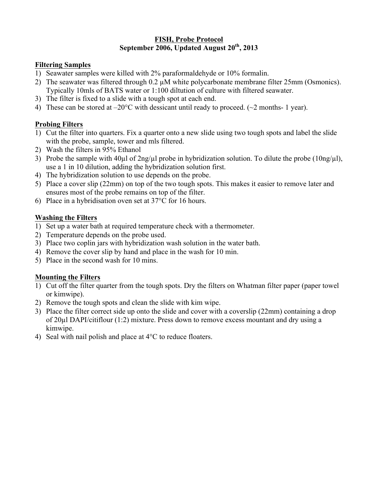#### **FISH, Probe Protocol** September 2006, Updated August 20<sup>th</sup>, 2013

#### **Filtering Samples**

- 1) Seawater samples were killed with 2% paraformaldehyde or 10% formalin.
- 2) The seawater was filtered through 0.2 µM white polycarbonate membrane filter 25mm (Osmonics). Typically 10mls of BATS water or 1:100 diltution of culture with filtered seawater.
- 3) The filter is fixed to a slide with a tough spot at each end.
- 4) These can be stored at  $-20^{\circ}$ C with dessicant until ready to proceed. ( $\sim$ 2 months- 1 year).

## **Probing Filters**

- 1) Cut the filter into quarters. Fix a quarter onto a new slide using two tough spots and label the slide with the probe, sample, tower and mls filtered.
- 2) Wash the filters in 95% Ethanol
- 3) Probe the sample with 40µl of  $2ng/u$  probe in hybridization solution. To dilute the probe ( $10ng/u$ ), use a 1 in 10 dilution, adding the hybridization solution first.
- 4) The hybridization solution to use depends on the probe.
- 5) Place a cover slip (22mm) on top of the two tough spots. This makes it easier to remove later and ensures most of the probe remains on top of the filter.
- 6) Place in a hybridisation oven set at 37°C for 16 hours.

#### **Washing the Filters**

- 1) Set up a water bath at required temperature check with a thermometer.
- 2) Temperature depends on the probe used.
- 3) Place two coplin jars with hybridization wash solution in the water bath.
- 4) Remove the cover slip by hand and place in the wash for 10 min.
- 5) Place in the second wash for 10 mins.

## **Mounting the Filters**

- 1) Cut off the filter quarter from the tough spots. Dry the filters on Whatman filter paper (paper towel or kimwipe).
- 2) Remove the tough spots and clean the slide with kim wipe.
- 3) Place the filter correct side up onto the slide and cover with a coverslip (22mm) containing a drop of 20µl DAPI/citiflour (1:2) mixture. Press down to remove excess mountant and dry using a kimwipe.
- 4) Seal with nail polish and place at 4<sup>o</sup>C to reduce floaters.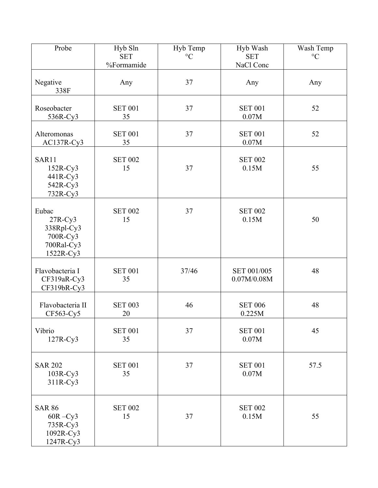| Probe                                                                   | Hyb Sln<br><b>SET</b><br>%Formamide | Hyb Temp<br>$\rm ^{\circ}C$ | Hyb Wash<br><b>SET</b><br>NaCl Conc | Wash Temp<br>$\rm ^{\circ}C$ |
|-------------------------------------------------------------------------|-------------------------------------|-----------------------------|-------------------------------------|------------------------------|
| Negative<br>338F                                                        | Any                                 | 37                          | Any                                 | Any                          |
| Roseobacter<br>536R-Cy3                                                 | <b>SET 001</b><br>35                | 37                          | <b>SET 001</b><br>0.07M             | 52                           |
| Alteromonas<br>AC137R-Cy3                                               | <b>SET 001</b><br>35                | 37                          | <b>SET 001</b><br>0.07M             | 52                           |
| SAR11<br>$152R-Cy3$<br>441R-Cy3<br>542R-Cy3<br>732R-Cy3                 | <b>SET 002</b><br>15                | 37                          | <b>SET 002</b><br>0.15M             | 55                           |
| Eubac<br>$27R-Cy3$<br>338Rpl-Cy3<br>700R-Cy3<br>700Ral-Cy3<br>1522R-Cy3 | <b>SET 002</b><br>15                | 37                          | <b>SET 002</b><br>0.15M             | 50                           |
| Flavobacteria I<br>CF319aR-Cy3<br>CF319bR-Cy3                           | <b>SET 001</b><br>35                | 37/46                       | SET 001/005<br>0.07M/0.08M          | 48                           |
| Flavobacteria II<br>CF563-Cy5                                           | <b>SET 003</b><br>20                | 46                          | <b>SET 006</b><br>0.225M            | 48                           |
| Vibrio<br>$127R-Cy3$                                                    | <b>SET 001</b><br>35                | 37                          | <b>SET 001</b><br>0.07M             | 45                           |
| <b>SAR 202</b><br>$103R-Cy3$<br>311R-Cy3                                | <b>SET 001</b><br>35                | 37                          | <b>SET 001</b><br>0.07M             | 57.5                         |
| <b>SAR 86</b><br>$60R - Cy3$<br>735R-Cy3<br>1092R-Cy3<br>1247R-Cy3      | <b>SET 002</b><br>15                | 37                          | <b>SET 002</b><br>0.15M             | 55                           |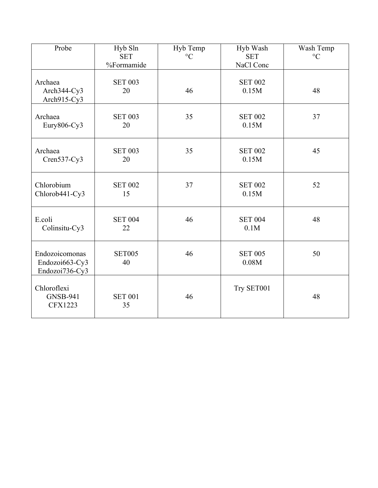| Probe                                              | Hyb Sln<br><b>SET</b><br>%Formamide | Hyb Temp<br>$\rm ^{\circ}C$ | Hyb Wash<br><b>SET</b><br>NaCl Conc | Wash Temp<br>$\rm ^{\circ}C$ |
|----------------------------------------------------|-------------------------------------|-----------------------------|-------------------------------------|------------------------------|
| Archaea<br>Arch344-Cy3<br>Arch915-Cy3              | <b>SET 003</b><br>20                | 46                          | <b>SET 002</b><br>0.15M             | 48                           |
| Archaea<br>Eury806-Cy3                             | <b>SET 003</b><br>20                | 35                          | <b>SET 002</b><br>0.15M             | 37                           |
| Archaea<br>$Cren537-Cy3$                           | <b>SET 003</b><br>20                | 35                          | <b>SET 002</b><br>0.15M             | 45                           |
| Chlorobium<br>Chlorob441-Cy3                       | <b>SET 002</b><br>15                | 37                          | <b>SET 002</b><br>0.15M             | 52                           |
| E.coli<br>Colinsitu-Cy3                            | <b>SET 004</b><br>22                | 46                          | <b>SET 004</b><br>0.1M              | 48                           |
| Endozoicomonas<br>Endozoi663-Cy3<br>Endozoi736-Cy3 | <b>SET005</b><br>40                 | 46                          | <b>SET 005</b><br>0.08M             | 50                           |
| Chloroflexi<br><b>GNSB-941</b><br><b>CFX1223</b>   | <b>SET 001</b><br>35                | 46                          | Try SET001                          | 48                           |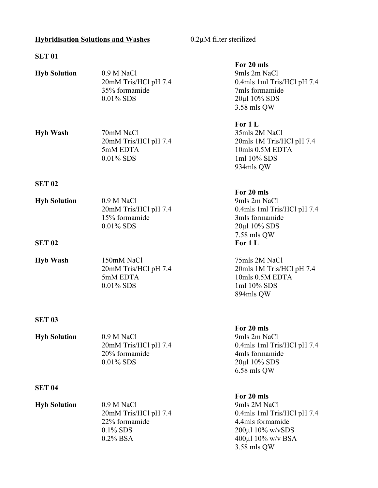# **Hybridisation Solutions and Washes** 0.2µM filter sterilized

3.58 mls QW

# **SET 01**

| <b>Hyb Solution</b>                                                                                   | 0.9 M NaCl<br>20mM Tris/HCl pH 7.4<br>35% formamide<br>$0.01\%$ SDS | For 20 mls<br>9mls 2m NaCl<br>0.4mls 1ml Tris/HCl pH 7.4<br>7mls formamide<br>20μl 10% SDS<br>3.58 mls QW                      |
|-------------------------------------------------------------------------------------------------------|---------------------------------------------------------------------|--------------------------------------------------------------------------------------------------------------------------------|
| <b>Hyb Wash</b>                                                                                       | 70mM NaCl<br>20mM Tris/HCl pH 7.4<br>5mM EDTA<br>$0.01\%$ SDS       | For 1 L<br>35mls 2M NaCl<br>20mls 1M Tris/HCl pH 7.4<br>10mls 0.5M EDTA<br>1ml 10% SDS<br>934mls QW                            |
| <b>SET 02</b>                                                                                         |                                                                     |                                                                                                                                |
| <b>Hyb Solution</b>                                                                                   | 0.9 M NaCl<br>20mM Tris/HCl pH 7.4<br>15% formamide<br>$0.01\%$ SDS | For 20 mls<br>9mls 2m NaCl<br>0.4mls 1ml Tris/HCl pH 7.4<br>3mls formamide<br>$20\mu$ l 10% SDS<br>7.58 mls QW                 |
| <b>SET 02</b>                                                                                         |                                                                     | For 1 L                                                                                                                        |
| <b>Hyb Wash</b>                                                                                       | 150mM NaCl<br>20mM Tris/HCl pH 7.4<br>5mM EDTA<br>$0.01\%$ SDS      | 75mls 2M NaCl<br>20mls 1M Tris/HCl pH 7.4<br>10mls 0.5M EDTA<br>1ml 10% SDS<br>894mls QW                                       |
| <b>SET 03</b>                                                                                         |                                                                     |                                                                                                                                |
| <b>Hyb Solution</b>                                                                                   | 0.9 M NaCl<br>20mM Tris/HCl pH 7.4<br>20% formamide<br>0.01% SDS    | For 20 mls<br>9mls 2m NaCl<br>0.4mls 1ml Tris/HCl pH 7.4<br>4mls formamide<br>20μl 10% SDS<br>6.58 mls QW                      |
| <b>SET 04</b>                                                                                         |                                                                     |                                                                                                                                |
| <b>Hyb Solution</b><br>0.9 M NaCl<br>20mM Tris/HCl pH 7.4<br>22% formamide<br>0.1% SDS<br>$0.2\%$ BSA |                                                                     | For 20 mls<br>9mls 2M NaCl<br>0.4mls 1ml Tris/HCl pH 7.4<br>4.4mls formamide<br>$200 \mu$ l $10\%$ w/vSDS<br>400μl 10% w/v BSA |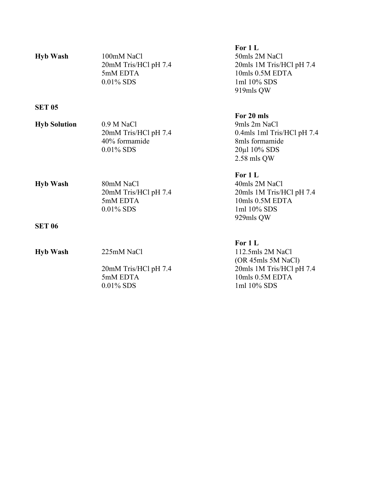| <b>Hyb Wash</b>     | 100mM NaCl<br>20mM Tris/HCl pH 7.4<br>5mM EDTA<br>$0.01\%$ SDS        | For 1 L<br>50mls 2M NaCl<br>20mls 1M Tris/HCl pH 7.4<br>10mls 0.5M EDTA<br>1ml 10% SDS<br>919mls QW             |
|---------------------|-----------------------------------------------------------------------|-----------------------------------------------------------------------------------------------------------------|
| <b>SET 05</b>       |                                                                       |                                                                                                                 |
| <b>Hyb Solution</b> | $0.9 M$ NaCl<br>20mM Tris/HCl pH 7.4<br>40% formamide<br>$0.01\%$ SDS | For 20 mls<br>9mls 2m NaCl<br>0.4mls 1ml Tris/HCl pH 7.4<br>8mls formamide<br>20μl 10% SDS<br>$2.58$ mls QW     |
| <b>Hyb Wash</b>     | 80mM NaCl<br>20mM Tris/HCl pH 7.4<br>5mM EDTA<br>$0.01\%$ SDS         | For 1 L<br>40mls 2M NaCl<br>20mls 1M Tris/HCl pH 7.4<br>10mls 0.5M EDTA<br>1ml 10% SDS<br>929mls QW             |
| <b>SET 06</b>       |                                                                       |                                                                                                                 |
| <b>Hyb Wash</b>     | 225mM NaCl<br>20mM Tris/HCl pH 7.4<br>5mM EDTA<br>$0.01\%$ SDS        | For 1 L<br>112.5mls 2M NaCl<br>(OR 45mls 5M NaCl)<br>20mls 1M Tris/HCl pH 7.4<br>10mls 0.5M EDTA<br>1ml 10% SDS |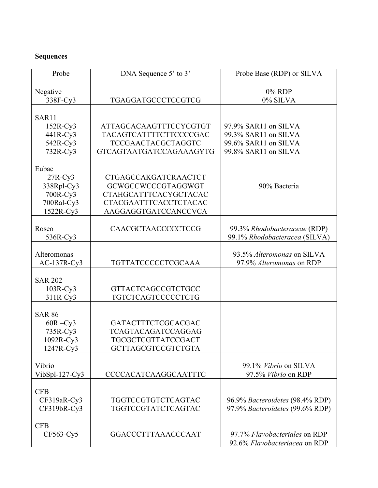# **Sequences**

| Probe            | DNA Sequence 5' to 3'          | Probe Base (RDP) or SILVA       |  |
|------------------|--------------------------------|---------------------------------|--|
|                  |                                |                                 |  |
| Negative         |                                | $0\%$ RDP                       |  |
| 338F-Cy3         | TGAGGATGCCCTCCGTCG             | 0% SILVA                        |  |
|                  |                                |                                 |  |
| SAR11            |                                |                                 |  |
| $152R-Cy3$       | ATTAGCACAAGTTTCCYCGTGT         | 97.9% SAR11 on SILVA            |  |
| 441R-Cy3         | TACAGTCATTTTCTTCCCCGAC         | 99.3% SAR11 on SILVA            |  |
| 542R-Cy3         | <b>TCCGAACTACGCTAGGTC</b>      | 99.6% SAR11 on SILVA            |  |
| $732R-Cy3$       | <b>GTCAGTAATGATCCAGAAAGYTG</b> | 99.8% SAR11 on SILVA            |  |
|                  |                                |                                 |  |
| Eubac            |                                |                                 |  |
| $27R$ -Cy3       | CTGAGCCAKGATCRAACTCT           |                                 |  |
| 338Rpl-Cy3       | GCWGCCWCCCGTAGGWGT             | 90% Bacteria                    |  |
| 700R-Cy3         | <b>CTAHGCATTTCACYGCTACAC</b>   |                                 |  |
| 700Ral-Cy3       | CTACGAATTTCACCTCTACAC          |                                 |  |
| 1522R-Cy3        | AAGGAGGTGATCCANCCVCA           |                                 |  |
|                  |                                |                                 |  |
| Roseo            | CAACGCTAACCCCCTCCG             | 99.3% Rhodobacteraceae (RDP)    |  |
| 536R-Cy3         |                                | 99.1% Rhodobacteracea (SILVA)   |  |
|                  |                                |                                 |  |
| Alteromonas      |                                | 93.5% Alteromonas on SILVA      |  |
| $AC-137R-Cy3$    | TGTTATCCCCCTCGCAAA             | 97.9% Alteromonas on RDP        |  |
|                  |                                |                                 |  |
| <b>SAR 202</b>   |                                |                                 |  |
| $103R$ -Cy3      | <b>GTTACTCAGCCGTCTGCC</b>      |                                 |  |
| $311R-Cy3$       | TGTCTCAGTCCCCCTCTG             |                                 |  |
|                  |                                |                                 |  |
| <b>SAR 86</b>    |                                |                                 |  |
| $60R - Cy3$      | GATACTTTCTCGCACGAC             |                                 |  |
| 735R-Cy3         | TCAGTACAGATCCAGGAG             |                                 |  |
| 1092R-Cy3        | TGCGCTCGTTATCCGACT             |                                 |  |
| $1247R$ -Cy3     | GCTTAGCGTCCGTCTGTA             |                                 |  |
|                  |                                |                                 |  |
| Vibrio           |                                | 99.1% Vibrio on SILVA           |  |
| $VibSpl-127-Cy3$ | <b>CCCCACATCAAGGCAATTTC</b>    | 97.5% Vibrio on RDP             |  |
|                  |                                |                                 |  |
| <b>CFB</b>       |                                |                                 |  |
| CF319aR-Cy3      | TGGTCCGTGTCTCAGTAC             | 96.9% Bacteroidetes (98.4% RDP) |  |
| CF319bR-Cy3      | TGGTCCGTATCTCAGTAC             | 97.9% Bacteroidetes (99.6% RDP) |  |
|                  |                                |                                 |  |
| <b>CFB</b>       |                                |                                 |  |
| CF563-Cy5        | GGACCCTTTAAACCCAAT             | 97.7% Flavobacteriales on RDP   |  |
|                  |                                | 92.6% Flavobacteriacea on RDP   |  |